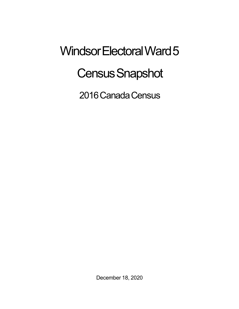## Windsor Electoral Ward 5 **Census Snapshot**

2016 Canada Census

December 18, 2020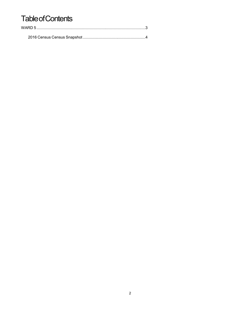## **Table of Contents**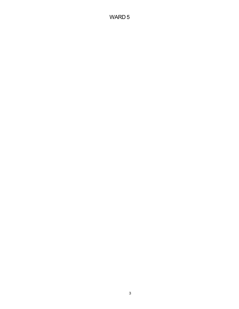## WARD 5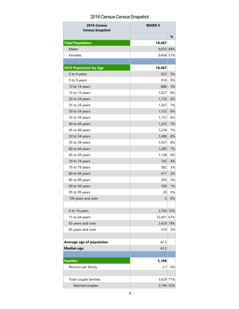## 2016 Census Census Snapshot

| 2016 Census<br><b>Census Snapshot</b> | <b>WARD 5</b> |    |
|---------------------------------------|---------------|----|
|                                       |               | %  |
| <b>Total Population</b>               | 18,487        |    |
| Males                                 | 9,033 49%     |    |
| Females                               | 9,454 51%     |    |
|                                       |               |    |
| <b>2016 Population by Age</b>         | 18,487        |    |
| 0 to 4 years                          | 922           | 5% |
| 5 to 9 years                          | 918           | 5% |
| 10 to 14 years                        | 886           | 5% |
| 15 to 19 years                        | 1,027         | 6% |
| 20 to 24 years                        | 1,135         | 6% |
| 25 to 29 years                        | 1,267         | 7% |
| 30 to 34 years                        | 1,153         | 6% |
| 35 to 39 years                        | 1,157         | 6% |
| 40 to 44 years                        | 1,202         | 7% |
| 45 to 49 years                        | 1,238         | 7% |
| 50 to 54 years                        | 1,488         | 8% |
| 55 to 59 years                        | 1,427         | 8% |
| 60 to 64 years                        | 1,285         | 7% |
| 65 to 69 years                        | 1,138         | 6% |
| 70 to 74 years                        | 742           | 4% |
| 75 to 79 years                        | 582           | 3% |
| 80 to 84 years                        | 417           | 2% |
| 85 to 89 years                        | 305           | 2% |
| 90 to 94 years                        | 169           | 1% |
| 95 to 99 years                        | 20            | 0% |
| 100 years and over                    | 5             | 0% |
|                                       |               |    |
| 0 to 14 years                         | 2,704 15%     |    |
| 15 to 64 years                        | 12,451 67%    |    |
| 65 years and over                     | 3,429 19%     |    |
| 85 years and over                     | 510           | 3% |
| Average age of population             | 42.5          |    |
| <b>Median age</b>                     | 43.2          |    |
|                                       |               |    |
| <b>Families</b>                       | 5,109         |    |
| Persons per family                    | 2.7           | 0% |
|                                       |               |    |
| Total couple families                 | 3,629 71%     |    |
| Married couples                       | 2,794 55%     |    |